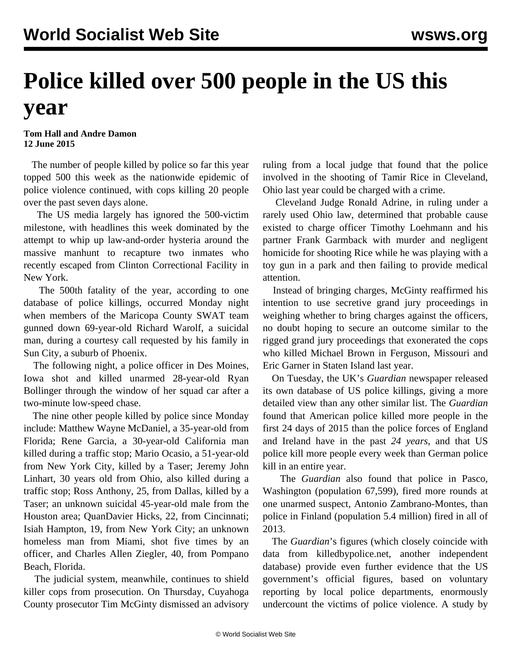## **Police killed over 500 people in the US this year**

## **Tom Hall and Andre Damon 12 June 2015**

 The number of people killed by police so far this year topped 500 this week as the nationwide epidemic of police violence continued, with cops killing 20 people over the past seven days alone.

 The US media largely has ignored the 500-victim milestone, with headlines this week dominated by the attempt to whip up law-and-order hysteria around the massive manhunt to recapture two inmates who recently escaped from Clinton Correctional Facility in New York.

 The 500th fatality of the year, according to one database of police killings, occurred Monday night when members of the Maricopa County SWAT team gunned down 69-year-old Richard Warolf, a suicidal man, during a courtesy call requested by his family in Sun City, a suburb of Phoenix.

 The following night, a police officer in Des Moines, Iowa shot and killed unarmed 28-year-old Ryan Bollinger through the window of her squad car after a two-minute low-speed chase.

 The nine other people killed by police since Monday include: Matthew Wayne McDaniel, a 35-year-old from Florida; Rene Garcia, a 30-year-old California man killed during a traffic stop; Mario Ocasio, a 51-year-old from New York City, killed by a Taser; Jeremy John Linhart, 30 years old from Ohio, also killed during a traffic stop; Ross Anthony, 25, from Dallas, killed by a Taser; an unknown suicidal 45-year-old male from the Houston area; QuanDavier Hicks, 22, from Cincinnati; Isiah Hampton, 19, from New York City; an unknown homeless man from Miami, shot five times by an officer, and Charles Allen Ziegler, 40, from Pompano Beach, Florida.

 The judicial system, meanwhile, continues to shield killer cops from prosecution. On Thursday, Cuyahoga County prosecutor Tim McGinty dismissed an advisory ruling from a local judge that found that the police involved in the shooting of Tamir Rice in Cleveland, Ohio last year could be charged with a crime.

 Cleveland Judge Ronald Adrine, in ruling under a rarely used Ohio law, determined that probable cause existed to charge officer Timothy Loehmann and his partner Frank Garmback with murder and negligent homicide for shooting Rice while he was playing with a toy gun in a park and then failing to provide medical attention.

 Instead of bringing charges, McGinty reaffirmed his intention to use secretive grand jury proceedings in weighing whether to bring charges against the officers, no doubt hoping to secure an outcome similar to the rigged grand jury proceedings that exonerated the cops who killed Michael Brown in Ferguson, Missouri and Eric Garner in Staten Island last year.

 On Tuesday, the UK's *Guardian* newspaper released its own database of US police killings, giving a more detailed view than any other similar list. The *Guardian* found that American police killed more people in the first 24 days of 2015 than the police forces of England and Ireland have in the past *24 years*, and that US police kill more people every week than German police kill in an entire year.

 The *Guardian* also found that police in Pasco, Washington (population 67,599), fired more rounds at one unarmed suspect, Antonio Zambrano-Montes, than police in Finland (population 5.4 million) fired in all of 2013.

 The *Guardian*'s figures (which closely coincide with data from killedbypolice.net, another independent database) provide even further evidence that the US government's official figures, based on voluntary reporting by local police departments, enormously undercount the victims of police violence. A study by